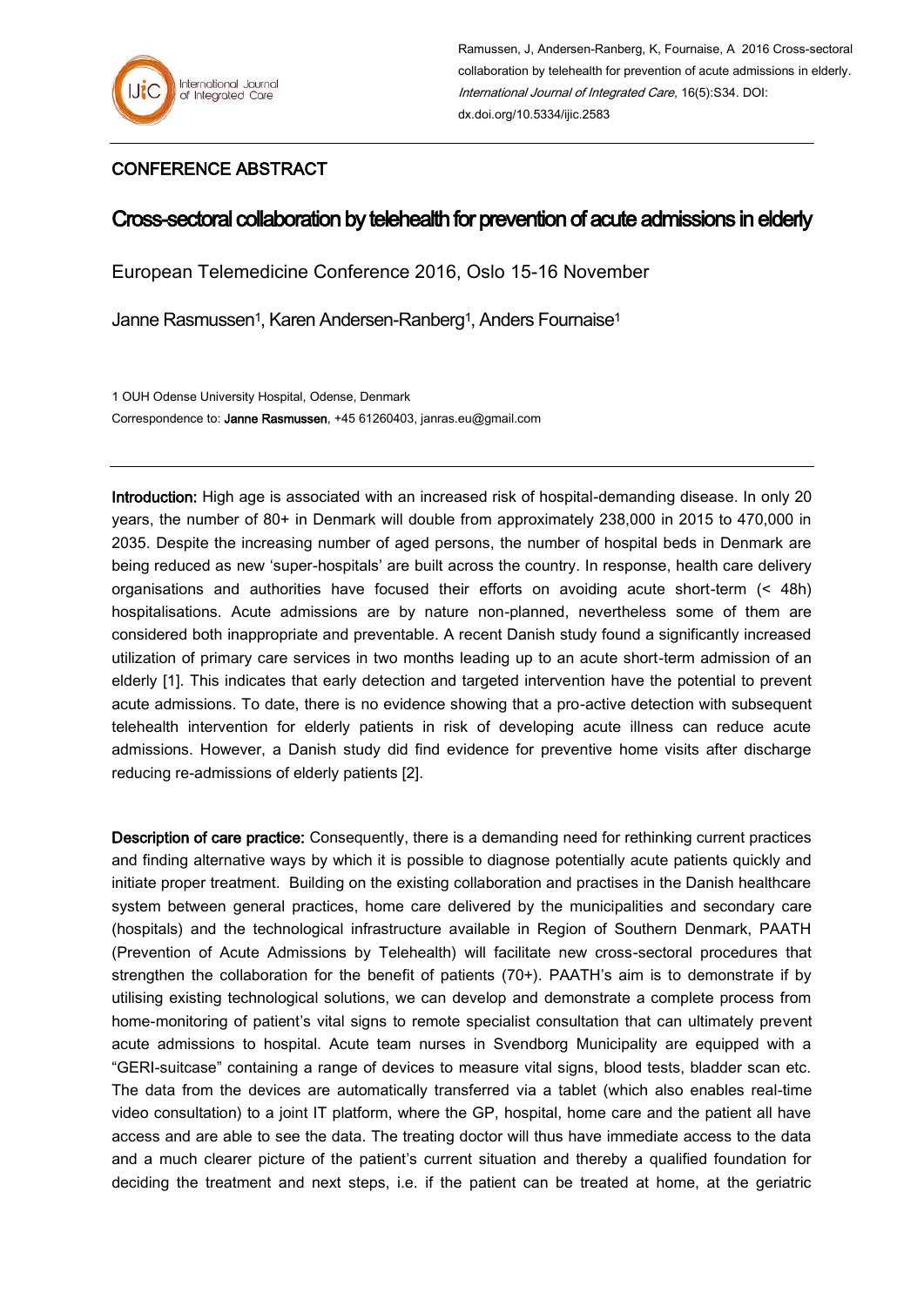Ramussen, J, Andersen-Ranberg, K, Fournaise, A 2016 Cross-sectoral collaboration by telehealth for prevention of acute admissions in elderly. International Journal of Integrated Care, 16(5):S34. DOI: dx.doi.org/10.5334/ijic.2583

## CONFERENCE ABSTRACT

## Cross-sectoral collaboration by telehealth for prevention of acute admissions in elderly

European Telemedicine Conference 2016, Oslo 15-16 November

Janne Rasmussen<sup>1</sup>, Karen Andersen-Ranberg<sup>1</sup>, Anders Fournaise<sup>1</sup>

1 OUH Odense University Hospital, Odense, Denmark Correspondence to: Janne Rasmussen, +45 61260403, janras.eu@gmail.com

Introduction: High age is associated with an increased risk of hospital-demanding disease. In only 20 years, the number of 80+ in Denmark will double from approximately 238,000 in 2015 to 470,000 in 2035. Despite the increasing number of aged persons, the number of hospital beds in Denmark are being reduced as new 'super-hospitals' are built across the country. In response, health care delivery organisations and authorities have focused their efforts on avoiding acute short-term (< 48h) hospitalisations. Acute admissions are by nature non-planned, nevertheless some of them are considered both inappropriate and preventable. A recent Danish study found a significantly increased utilization of primary care services in two months leading up to an acute short-term admission of an elderly [1]. This indicates that early detection and targeted intervention have the potential to prevent acute admissions. To date, there is no evidence showing that a pro-active detection with subsequent telehealth intervention for elderly patients in risk of developing acute illness can reduce acute admissions. However, a Danish study did find evidence for preventive home visits after discharge reducing re-admissions of elderly patients [2].

Description of care practice: Consequently, there is a demanding need for rethinking current practices and finding alternative ways by which it is possible to diagnose potentially acute patients quickly and initiate proper treatment. Building on the existing collaboration and practises in the Danish healthcare system between general practices, home care delivered by the municipalities and secondary care (hospitals) and the technological infrastructure available in Region of Southern Denmark, PAATH (Prevention of Acute Admissions by Telehealth) will facilitate new cross-sectoral procedures that strengthen the collaboration for the benefit of patients (70+). PAATH's aim is to demonstrate if by utilising existing technological solutions, we can develop and demonstrate a complete process from home-monitoring of patient's vital signs to remote specialist consultation that can ultimately prevent acute admissions to hospital. Acute team nurses in Svendborg Municipality are equipped with a "GERI-suitcase" containing a range of devices to measure vital signs, blood tests, bladder scan etc. The data from the devices are automatically transferred via a tablet (which also enables real-time video consultation) to a joint IT platform, where the GP, hospital, home care and the patient all have access and are able to see the data. The treating doctor will thus have immediate access to the data and a much clearer picture of the patient's current situation and thereby a qualified foundation for deciding the treatment and next steps, i.e. if the patient can be treated at home, at the geriatric